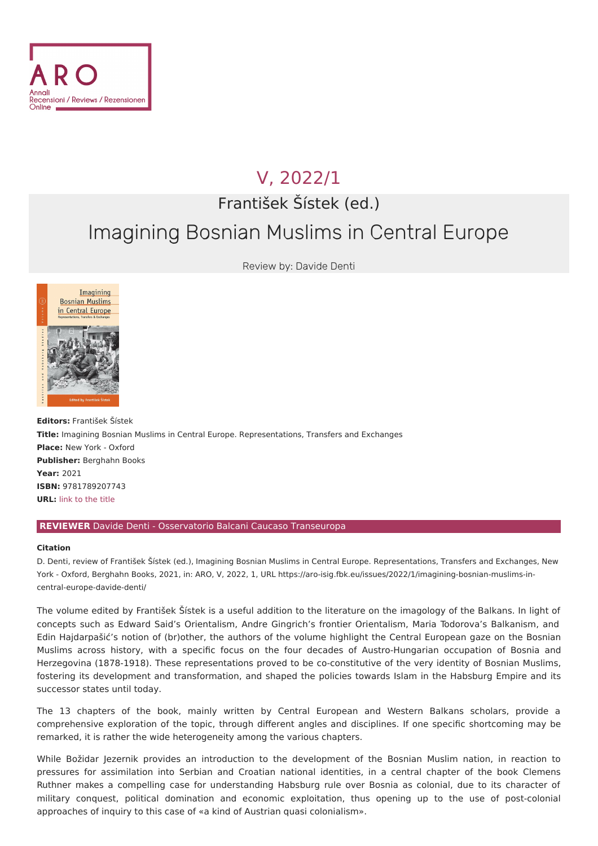

## V, [2022/1](file:///issues/2022/1/)

František Šístek (ed.)

## Imagining Bosnian Muslims in Central Europe

Review by: Davide Denti



**Editors:** František Šístek **Title:** Imagining Bosnian Muslims in Central Europe. Representations, Transfers and Exchanges **Place:** New York - Oxford **Publisher:** Berghahn Books **Year:** 2021 **ISBN:** 9781789207743 **URL:** link to the [title](https://www.berghahnbooks.com/title/SistekImagining)

## **REVIEWER** Davide Denti - Osservatorio Balcani Caucaso Transeuropa

## **Citation**

D. Denti, review of František Šístek (ed.), Imagining Bosnian Muslims in Central Europe. Representations, Transfers and Exchanges, New York - Oxford, Berghahn Books, 2021, in: ARO, V, 2022, 1, URL [https://aro-isig.fbk.eu/issues/2022/1/imagining-bosnian-muslims-in](https://aro-isig.fbk.eu/issues/2022/1/imagining-bosnian-muslims-in-central-europe-davide-denti/)central-europe-davide-denti/

The volume edited by František Šístek is a useful addition to the literature on the imagology of the Balkans. In light of concepts such as Edward Said's Orientalism, Andre Gingrich's frontier Orientalism, Maria Todorova's Balkanism, and Edin Hajdarpašić's notion of (br)other, the authors of the volume highlight the Central European gaze on the Bosnian Muslims across history, with a specific focus on the four decades of Austro-Hungarian occupation of Bosnia and Herzegovina (1878-1918). These representations proved to be co-constitutive of the very identity of Bosnian Muslims, fostering its development and transformation, and shaped the policies towards Islam in the Habsburg Empire and its successor states until today.

The 13 chapters of the book, mainly written by Central European and Western Balkans scholars, provide a comprehensive exploration of the topic, through different angles and disciplines. If one specific shortcoming may be remarked, it is rather the wide heterogeneity among the various chapters.

While Božidar Jezernik provides an introduction to the development of the Bosnian Muslim nation, in reaction to pressures for assimilation into Serbian and Croatian national identities, in a central chapter of the book Clemens Ruthner makes a compelling case for understanding Habsburg rule over Bosnia as colonial, due to its character of military conquest, political domination and economic exploitation, thus opening up to the use of post-colonial approaches of inquiry to this case of «a kind of Austrian quasi colonialism».